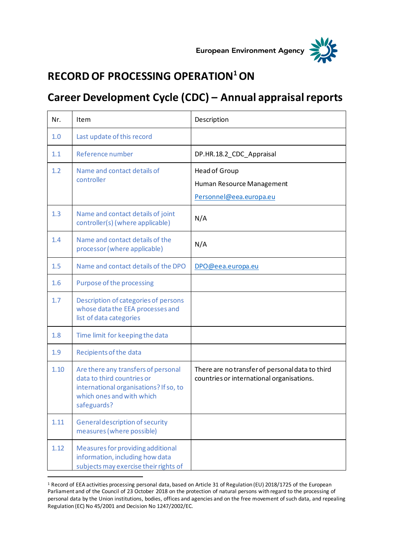



## **RECORD OF PROCESSING OPERATION<sup>1</sup>ON**

## **Career Development Cycle (CDC) – Annual appraisal reports**

| Nr.  | Item                                                                                                                                                    | Description                                                                                  |
|------|---------------------------------------------------------------------------------------------------------------------------------------------------------|----------------------------------------------------------------------------------------------|
| 1.0  | Last update of this record                                                                                                                              |                                                                                              |
| 1.1  | Reference number                                                                                                                                        | DP.HR.18.2_CDC_Appraisal                                                                     |
| 1.2  | Name and contact details of<br>controller                                                                                                               | Head of Group<br>Human Resource Management<br>Personnel@eea.europa.eu                        |
| 1.3  | Name and contact details of joint<br>controller(s) (where applicable)                                                                                   | N/A                                                                                          |
| 1.4  | Name and contact details of the<br>processor (where applicable)                                                                                         | N/A                                                                                          |
| 1.5  | Name and contact details of the DPO                                                                                                                     | DPO@eea.europa.eu                                                                            |
| 1.6  | Purpose of the processing                                                                                                                               |                                                                                              |
| 1.7  | Description of categories of persons<br>whose data the EEA processes and<br>list of data categories                                                     |                                                                                              |
| 1.8  | Time limit for keeping the data                                                                                                                         |                                                                                              |
| 1.9  | Recipients of the data                                                                                                                                  |                                                                                              |
| 1.10 | Are there any transfers of personal<br>data to third countries or<br>international organisations? If so, to<br>which ones and with which<br>safeguards? | There are no transfer of personal data to third<br>countries or international organisations. |
| 1.11 | General description of security<br>measures (where possible)                                                                                            |                                                                                              |
| 1.12 | Measures for providing additional<br>information, including how data<br>subjects may exercise their rights of                                           |                                                                                              |

<sup>1</sup> Record of EEA activities processing personal data, based on Article 31 of Regulation (EU) 2018/1725 of the European Parliament and of the Council of 23 October 2018 on the protection of natural persons with regard to the processing of personal data by the Union institutions, bodies, offices and agencies and on the free movement of such data, and repealing Regulation (EC) No 45/2001 and Decision No 1247/2002/EC.